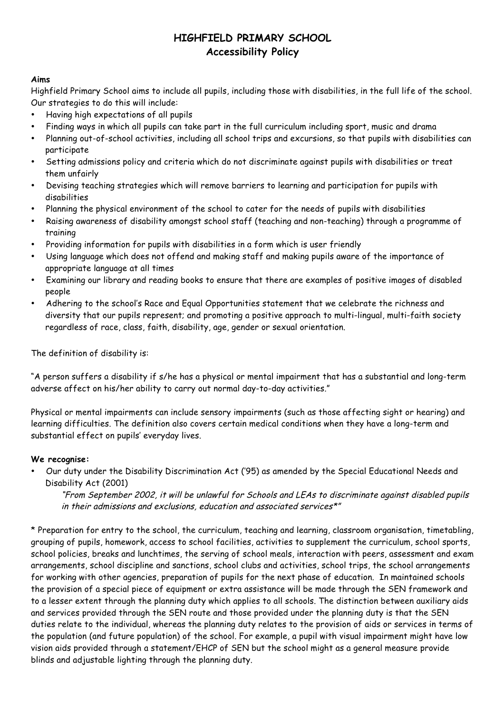### **Aims**

Highfield Primary School aims to include all pupils, including those with disabilities, in the full life of the school. Our strategies to do this will include:

- Having high expectations of all pupils
- Finding ways in which all pupils can take part in the full curriculum including sport, music and drama
- Planning out-of-school activities, including all school trips and excursions, so that pupils with disabilities can participate
- Setting admissions policy and criteria which do not discriminate against pupils with disabilities or treat them unfairly
- Devising teaching strategies which will remove barriers to learning and participation for pupils with disabilities
- Planning the physical environment of the school to cater for the needs of pupils with disabilities
- Raising awareness of disability amongst school staff (teaching and non-teaching) through a programme of training
- Providing information for pupils with disabilities in a form which is user friendly
- Using language which does not offend and making staff and making pupils aware of the importance of appropriate language at all times
- Examining our library and reading books to ensure that there are examples of positive images of disabled people
- Adhering to the school's Race and Equal Opportunities statement that we celebrate the richness and diversity that our pupils represent; and promoting a positive approach to multi-lingual, multi-faith society regardless of race, class, faith, disability, age, gender or sexual orientation.

The definition of disability is:

"A person suffers a disability if s/he has a physical or mental impairment that has a substantial and long-term adverse affect on his/her ability to carry out normal day-to-day activities."

Physical or mental impairments can include sensory impairments (such as those affecting sight or hearing) and learning difficulties. The definition also covers certain medical conditions when they have a long-term and substantial effect on pupils' everyday lives.

### **We recognise:**

• Our duty under the Disability Discrimination Act ('95) as amended by the Special Educational Needs and Disability Act (2001)

"From September 2002, it will be unlawful for Schools and LEAs to discriminate against disabled pupils in their admissions and exclusions, education and associated services\*"

\* Preparation for entry to the school, the curriculum, teaching and learning, classroom organisation, timetabling, grouping of pupils, homework, access to school facilities, activities to supplement the curriculum, school sports, school policies, breaks and lunchtimes, the serving of school meals, interaction with peers, assessment and exam arrangements, school discipline and sanctions, school clubs and activities, school trips, the school arrangements for working with other agencies, preparation of pupils for the next phase of education. In maintained schools the provision of a special piece of equipment or extra assistance will be made through the SEN framework and to a lesser extent through the planning duty which applies to all schools. The distinction between auxiliary aids and services provided through the SEN route and those provided under the planning duty is that the SEN duties relate to the individual, whereas the planning duty relates to the provision of aids or services in terms of the population (and future population) of the school. For example, a pupil with visual impairment might have low vision aids provided through a statement/EHCP of SEN but the school might as a general measure provide blinds and adjustable lighting through the planning duty.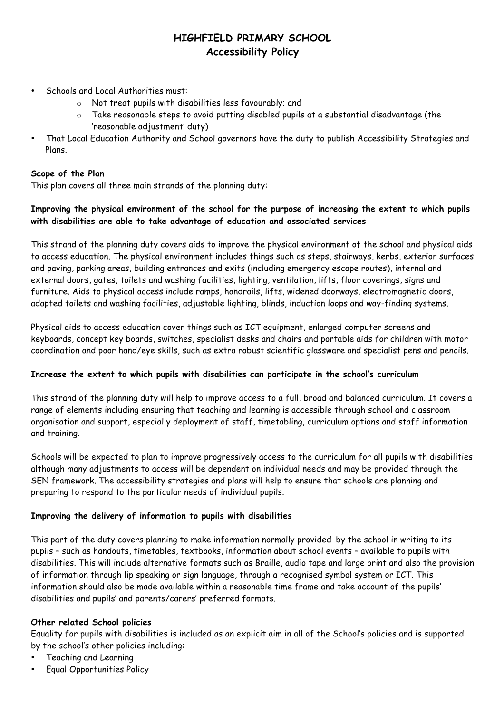- Schools and Local Authorities must:
	- o Not treat pupils with disabilities less favourably; and
	- $\circ$  Take reasonable steps to avoid putting disabled pupils at a substantial disadvantage (the 'reasonable adjustment' duty)
- That Local Education Authority and School governors have the duty to publish Accessibility Strategies and Plans.

#### **Scope of the Plan**

This plan covers all three main strands of the planning duty:

## **Improving the physical environment of the school for the purpose of increasing the extent to which pupils with disabilities are able to take advantage of education and associated services**

This strand of the planning duty covers aids to improve the physical environment of the school and physical aids to access education. The physical environment includes things such as steps, stairways, kerbs, exterior surfaces and paving, parking areas, building entrances and exits (including emergency escape routes), internal and external doors, gates, toilets and washing facilities, lighting, ventilation, lifts, floor coverings, signs and furniture. Aids to physical access include ramps, handrails, lifts, widened doorways, electromagnetic doors, adapted toilets and washing facilities, adjustable lighting, blinds, induction loops and way-finding systems.

Physical aids to access education cover things such as ICT equipment, enlarged computer screens and keyboards, concept key boards, switches, specialist desks and chairs and portable aids for children with motor coordination and poor hand/eye skills, such as extra robust scientific glassware and specialist pens and pencils.

### **Increase the extent to which pupils with disabilities can participate in the school's curriculum**

This strand of the planning duty will help to improve access to a full, broad and balanced curriculum. It covers a range of elements including ensuring that teaching and learning is accessible through school and classroom organisation and support, especially deployment of staff, timetabling, curriculum options and staff information and training.

Schools will be expected to plan to improve progressively access to the curriculum for all pupils with disabilities although many adjustments to access will be dependent on individual needs and may be provided through the SEN framework. The accessibility strategies and plans will help to ensure that schools are planning and preparing to respond to the particular needs of individual pupils.

### **Improving the delivery of information to pupils with disabilities**

This part of the duty covers planning to make information normally provided by the school in writing to its pupils – such as handouts, timetables, textbooks, information about school events – available to pupils with disabilities. This will include alternative formats such as Braille, audio tape and large print and also the provision of information through lip speaking or sign language, through a recognised symbol system or ICT. This information should also be made available within a reasonable time frame and take account of the pupils' disabilities and pupils' and parents/carers' preferred formats.

#### **Other related School policies**

Equality for pupils with disabilities is included as an explicit aim in all of the School's policies and is supported by the school's other policies including:

- Teaching and Learning
- Equal Opportunities Policy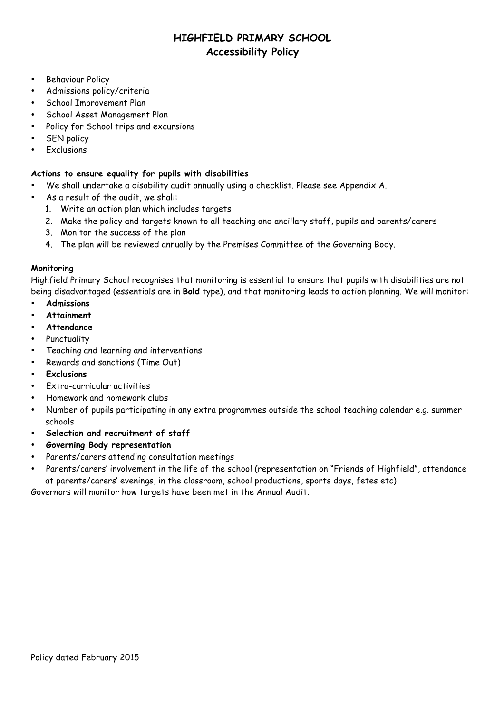- Behaviour Policy
- Admissions policy/criteria
- School Improvement Plan
- School Asset Management Plan
- Policy for School trips and excursions
- **SEN policy**
- **Exclusions**

#### **Actions to ensure equality for pupils with disabilities**

- We shall undertake a disability audit annually using a checklist. Please see Appendix A.
- As a result of the audit, we shall:
	- 1. Write an action plan which includes targets
	- 2. Make the policy and targets known to all teaching and ancillary staff, pupils and parents/carers
	- 3. Monitor the success of the plan
	- 4. The plan will be reviewed annually by the Premises Committee of the Governing Body.

#### **Monitoring**

Highfield Primary School recognises that monitoring is essential to ensure that pupils with disabilities are not being disadvantaged (essentials are in **Bold** type), and that monitoring leads to action planning. We will monitor:

- **Admissions**
- **Attainment**
- **Attendance**
- Punctuality
- Teaching and learning and interventions
- Rewards and sanctions (Time Out)
- **Exclusions**
- Extra-curricular activities
- Homework and homework clubs
- Number of pupils participating in any extra programmes outside the school teaching calendar e.g. summer schools
- **Selection and recruitment of staff**
- **Governing Body representation**
- Parents/carers attending consultation meetings
- Parents/carers' involvement in the life of the school (representation on "Friends of Highfield", attendance at parents/carers' evenings, in the classroom, school productions, sports days, fetes etc)

Governors will monitor how targets have been met in the Annual Audit.